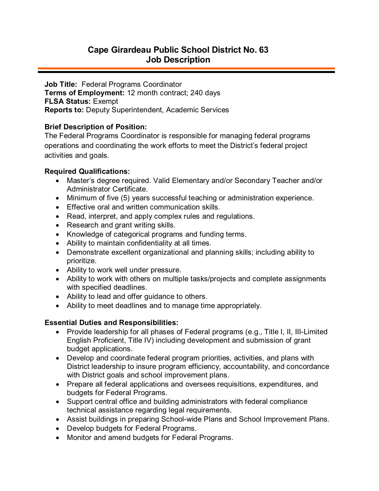# **Cape Girardeau Public School District No. 63 Job Description**

**Job Title:** Federal Programs Coordinator **Terms of Employment:** 12 month contract; 240 days **FLSA Status:** Exempt **Reports to:** Deputy Superintendent, Academic Services

#### **Brief Description of Position:**

The Federal Programs Coordinator is responsible for managing federal programs operations and coordinating the work efforts to meet the District's federal project activities and goals.

## **Required Qualifications:**

- Master's degree required. Valid Elementary and/or Secondary Teacher and/or Administrator Certificate.
- Minimum of five (5) years successful teaching or administration experience.
- Effective oral and written communication skills.
- Read, interpret, and apply complex rules and regulations.
- Research and grant writing skills.
- Knowledge of categorical programs and funding terms.
- Ability to maintain confidentiality at all times.
- Demonstrate excellent organizational and planning skills; including ability to prioritize.
- Ability to work well under pressure.
- Ability to work with others on multiple tasks/projects and complete assignments with specified deadlines.
- Ability to lead and offer guidance to others.
- Ability to meet deadlines and to manage time appropriately.

## **Essential Duties and Responsibilities:**

- Provide leadership for all phases of Federal programs (e.g., Title I, II, III-Limited English Proficient, Title IV) including development and submission of grant budget applications.
- Develop and coordinate federal program priorities, activities, and plans with District leadership to insure program efficiency, accountability, and concordance with District goals and school improvement plans.
- Prepare all federal applications and oversees requisitions, expenditures, and budgets for Federal Programs.
- Support central office and building administrators with federal compliance technical assistance regarding legal requirements.
- Assist buildings in preparing School-wide Plans and School Improvement Plans.
- Develop budgets for Federal Programs.
- Monitor and amend budgets for Federal Programs.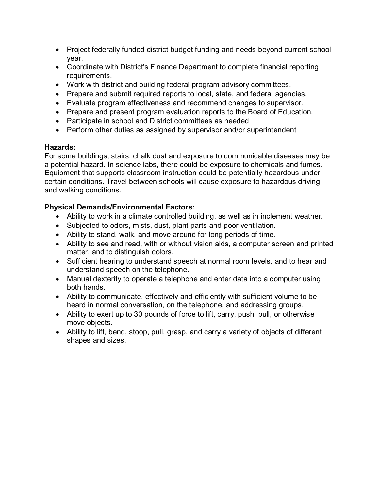- Project federally funded district budget funding and needs beyond current school year.
- Coordinate with District's Finance Department to complete financial reporting requirements.
- Work with district and building federal program advisory committees.
- Prepare and submit required reports to local, state, and federal agencies.
- Evaluate program effectiveness and recommend changes to supervisor.
- Prepare and present program evaluation reports to the Board of Education.
- Participate in school and District committees as needed
- Perform other duties as assigned by supervisor and/or superintendent

## **Hazards:**

For some buildings, stairs, chalk dust and exposure to communicable diseases may be a potential hazard. In science labs, there could be exposure to chemicals and fumes. Equipment that supports classroom instruction could be potentially hazardous under certain conditions. Travel between schools will cause exposure to hazardous driving and walking conditions.

## **Physical Demands/Environmental Factors:**

- Ability to work in a climate controlled building, as well as in inclement weather.
- Subjected to odors, mists, dust, plant parts and poor ventilation.
- Ability to stand, walk, and move around for long periods of time.
- Ability to see and read, with or without vision aids, a computer screen and printed matter, and to distinguish colors.
- Sufficient hearing to understand speech at normal room levels, and to hear and understand speech on the telephone.
- Manual dexterity to operate a telephone and enter data into a computer using both hands.
- Ability to communicate, effectively and efficiently with sufficient volume to be heard in normal conversation, on the telephone, and addressing groups.
- Ability to exert up to 30 pounds of force to lift, carry, push, pull, or otherwise move objects.
- Ability to lift, bend, stoop, pull, grasp, and carry a variety of objects of different shapes and sizes.